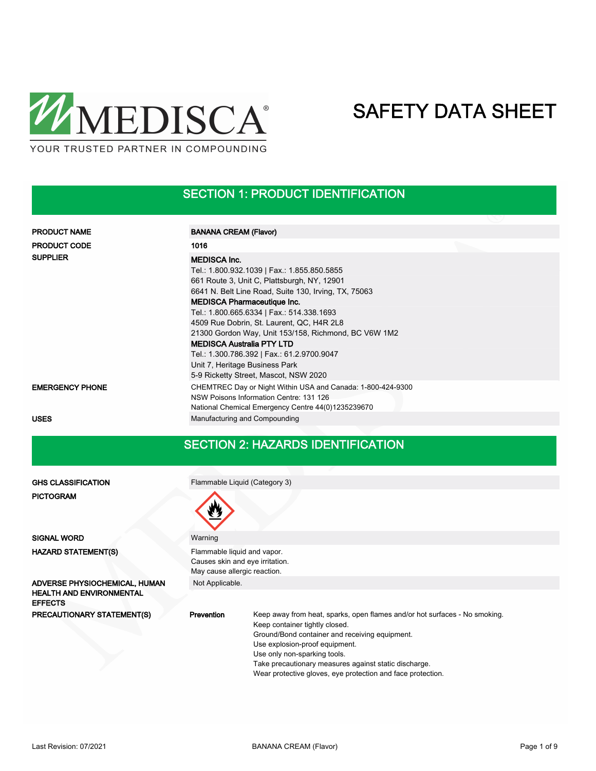

# SECTION 1: PRODUCT IDENTIFICATION

| <b>PRODUCT NAME</b>    | <b>BANANA CREAM (Flavor)</b>                                                                                                                                                                                                                                                                                                                                                                                                                                                          |
|------------------------|---------------------------------------------------------------------------------------------------------------------------------------------------------------------------------------------------------------------------------------------------------------------------------------------------------------------------------------------------------------------------------------------------------------------------------------------------------------------------------------|
| <b>PRODUCT CODE</b>    | 1016                                                                                                                                                                                                                                                                                                                                                                                                                                                                                  |
| <b>SUPPLIER</b>        | <b>MEDISCA Inc.</b><br>Tel.: 1.800.932.1039   Fax.: 1.855.850.5855<br>661 Route 3, Unit C, Plattsburgh, NY, 12901<br>6641 N. Belt Line Road, Suite 130, Irving, TX, 75063<br><b>MEDISCA Pharmaceutique Inc.</b><br>Tel.: 1.800.665.6334   Fax.: 514.338.1693<br>4509 Rue Dobrin, St. Laurent, QC, H4R 2L8<br>21300 Gordon Way, Unit 153/158, Richmond, BC V6W 1M2<br><b>MEDISCA Australia PTY LTD</b><br>Tel.: 1.300.786.392   Fax.: 61.2.9700.9047<br>Unit 7, Heritage Business Park |
|                        | 5-9 Ricketty Street, Mascot, NSW 2020                                                                                                                                                                                                                                                                                                                                                                                                                                                 |
| <b>EMERGENCY PHONE</b> | CHEMTREC Day or Night Within USA and Canada: 1-800-424-9300<br>NSW Poisons Information Centre: 131 126<br>National Chemical Emergency Centre 44(0)1235239670                                                                                                                                                                                                                                                                                                                          |
| <b>USES</b>            | Manufacturing and Compounding                                                                                                                                                                                                                                                                                                                                                                                                                                                         |

### SECTION 2: HAZARDS IDENTIFICATION

| <b>GHS CLASSIFICATION</b>                                                          | Flammable Liquid (Category 3)                                                                                                                                                                                                                                                                                                                                                 |  |  |  |  |  |  |
|------------------------------------------------------------------------------------|-------------------------------------------------------------------------------------------------------------------------------------------------------------------------------------------------------------------------------------------------------------------------------------------------------------------------------------------------------------------------------|--|--|--|--|--|--|
| <b>PICTOGRAM</b>                                                                   |                                                                                                                                                                                                                                                                                                                                                                               |  |  |  |  |  |  |
| <b>SIGNAL WORD</b>                                                                 | Warning                                                                                                                                                                                                                                                                                                                                                                       |  |  |  |  |  |  |
| <b>HAZARD STATEMENT(S)</b>                                                         | Flammable liquid and vapor.<br>Causes skin and eye irritation.<br>May cause allergic reaction.                                                                                                                                                                                                                                                                                |  |  |  |  |  |  |
| ADVERSE PHYSIOCHEMICAL, HUMAN<br><b>HEALTH AND ENVIRONMENTAL</b><br><b>EFFECTS</b> | Not Applicable.                                                                                                                                                                                                                                                                                                                                                               |  |  |  |  |  |  |
| PRECAUTIONARY STATEMENT(S)                                                         | <b>Prevention</b><br>Keep away from heat, sparks, open flames and/or hot surfaces - No smoking.<br>Keep container tightly closed.<br>Ground/Bond container and receiving equipment.<br>Use explosion-proof equipment.<br>Use only non-sparking tools.<br>Take precautionary measures against static discharge.<br>Wear protective gloves, eye protection and face protection. |  |  |  |  |  |  |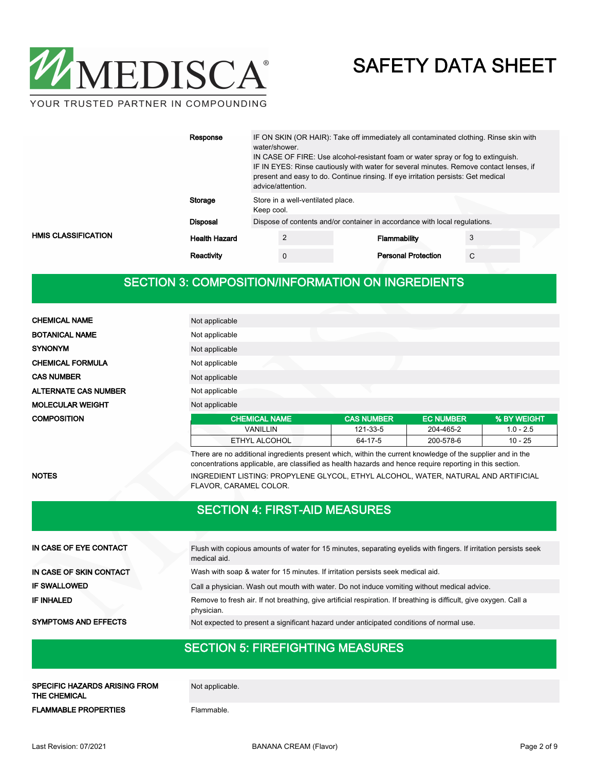

|                     | Response             | IF ON SKIN (OR HAIR): Take off immediately all contaminated clothing. Rinse skin with<br>water/shower.<br>IN CASE OF FIRE: Use alcohol-resistant foam or water spray or fog to extinguish.<br>IF IN EYES: Rinse cautiously with water for several minutes. Remove contact lenses, if<br>present and easy to do. Continue rinsing. If eye irritation persists: Get medical<br>advice/attention. |                                   |  |                            |   |  |
|---------------------|----------------------|------------------------------------------------------------------------------------------------------------------------------------------------------------------------------------------------------------------------------------------------------------------------------------------------------------------------------------------------------------------------------------------------|-----------------------------------|--|----------------------------|---|--|
|                     | Storage              | Keep cool.                                                                                                                                                                                                                                                                                                                                                                                     | Store in a well-ventilated place. |  |                            |   |  |
|                     | <b>Disposal</b>      | Dispose of contents and/or container in accordance with local regulations.                                                                                                                                                                                                                                                                                                                     |                                   |  |                            |   |  |
| HMIS CLASSIFICATION | <b>Health Hazard</b> |                                                                                                                                                                                                                                                                                                                                                                                                | ◠                                 |  | Flammability               | 3 |  |
|                     | Reactivity           |                                                                                                                                                                                                                                                                                                                                                                                                | 0                                 |  | <b>Personal Protection</b> | C |  |

# SECTION 3: COMPOSITION/INFORMATION ON INGREDIENTS

| <b>CHEMICAL NAME</b>        | Not applicable       |                   |                  |             |
|-----------------------------|----------------------|-------------------|------------------|-------------|
| <b>BOTANICAL NAME</b>       | Not applicable       |                   |                  |             |
| <b>SYNONYM</b>              | Not applicable       |                   |                  |             |
| <b>CHEMICAL FORMULA</b>     | Not applicable       |                   |                  |             |
| <b>CAS NUMBER</b>           | Not applicable       |                   |                  |             |
| <b>ALTERNATE CAS NUMBER</b> | Not applicable       |                   |                  |             |
| <b>MOLECULAR WEIGHT</b>     | Not applicable       |                   |                  |             |
| <b>COMPOSITION</b>          | <b>CHEMICAL NAME</b> | <b>CAS NUMBER</b> | <b>EC NUMBER</b> | % BY WEIGHT |
|                             | <b>VANILLIN</b>      | 121-33-5          | 204-465-2        | $1.0 - 2.5$ |
|                             | ETHYL ALCOHOL        | 64-17-5           | 200-578-6        | 10 - 25     |

There are no additional ingredients present which, within the current knowledge of the supplier and in the concentrations applicable, are classified as health hazards and hence require reporting in this section. NOTES INGREDIENT LISTING: PROPYLENE GLYCOL, ETHYL ALCOHOL, WATER, NATURAL AND ARTIFICIAL FLAVOR, CARAMEL COLOR.

## SECTION 4: FIRST-AID MEASURES

| IN CASE OF EYE CONTACT      | Flush with copious amounts of water for 15 minutes, separating eyelids with fingers. If irritation persists seek<br>medical aid. |
|-----------------------------|----------------------------------------------------------------------------------------------------------------------------------|
| IN CASE OF SKIN CONTACT     | Wash with soap & water for 15 minutes. If irritation persists seek medical aid.                                                  |
| <b>IF SWALLOWED</b>         | Call a physician. Wash out mouth with water. Do not induce vomiting without medical advice.                                      |
| <b>IF INHALED</b>           | Remove to fresh air. If not breathing, give artificial respiration. If breathing is difficult, give oxygen. Call a<br>physician. |
| <b>SYMPTOMS AND EFFECTS</b> | Not expected to present a significant hazard under anticipated conditions of normal use.                                         |

### SECTION 5: FIREFIGHTING MEASURES

SPECIFIC HAZARDS ARISING FROM Not applicable. THE CHEMICAL

FLAMMABLE PROPERTIES Flammable.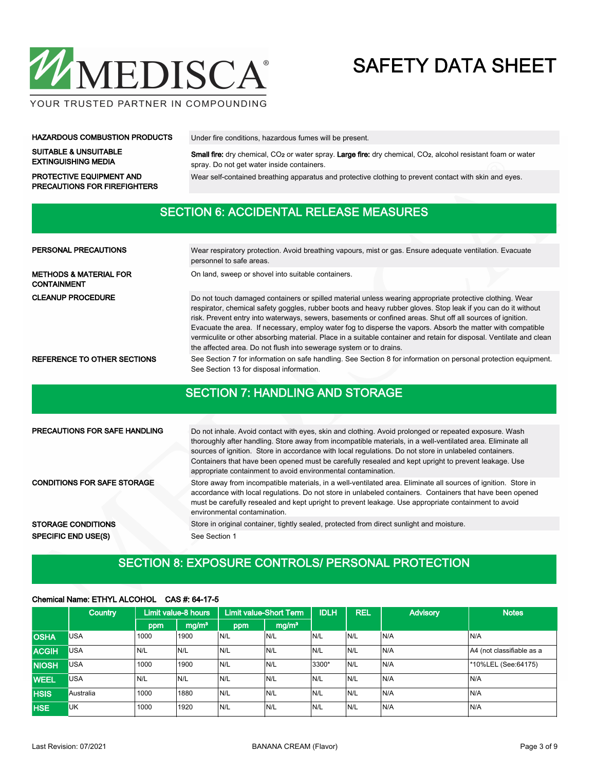

YOUR TRUSTED PARTNER IN COMPOUNDING

#### HAZARDOUS COMBUSTION PRODUCTS Under fire conditions, hazardous fumes will be present.

PRECAUTIONS FOR FIREFIGHTERS

SUITABLE & UNSUITABLE EXTINGUISHING MEDIA

Small fire: dry chemical, CO<sub>2</sub> or water spray. Large fire: dry chemical, CO<sub>2</sub>, alcohol resistant foam or water spray. Do not get water inside containers.

PROTECTIVE EQUIPMENT AND Wear self-contained breathing apparatus and protective clothing to prevent contact with skin and eyes.

## SECTION 6: ACCIDENTAL RELEASE MEASURES

| <b>PERSONAL PRECAUTIONS</b>                             | Wear respiratory protection. Avoid breathing vapours, mist or gas. Ensure adequate ventilation. Evacuate<br>personnel to safe areas.                                                                                                                                                                                                                                                                                                                                                                                                                                                                                                                |  |  |  |  |  |  |
|---------------------------------------------------------|-----------------------------------------------------------------------------------------------------------------------------------------------------------------------------------------------------------------------------------------------------------------------------------------------------------------------------------------------------------------------------------------------------------------------------------------------------------------------------------------------------------------------------------------------------------------------------------------------------------------------------------------------------|--|--|--|--|--|--|
| <b>METHODS &amp; MATERIAL FOR</b><br><b>CONTAINMENT</b> | On land, sweep or shovel into suitable containers.                                                                                                                                                                                                                                                                                                                                                                                                                                                                                                                                                                                                  |  |  |  |  |  |  |
| <b>CLEANUP PROCEDURE</b>                                | Do not touch damaged containers or spilled material unless wearing appropriate protective clothing. Wear<br>respirator, chemical safety goggles, rubber boots and heavy rubber gloves. Stop leak if you can do it without<br>risk. Prevent entry into waterways, sewers, basements or confined areas. Shut off all sources of ignition.<br>Evacuate the area. If necessary, employ water fog to disperse the vapors. Absorb the matter with compatible<br>vermiculite or other absorbing material. Place in a suitable container and retain for disposal. Ventilate and clean<br>the affected area. Do not flush into sewerage system or to drains. |  |  |  |  |  |  |
| REFERENCE TO OTHER SECTIONS                             | See Section 7 for information on safe handling. See Section 8 for information on personal protection equipment.<br>See Section 13 for disposal information.                                                                                                                                                                                                                                                                                                                                                                                                                                                                                         |  |  |  |  |  |  |

## SECTION 7: HANDLING AND STORAGE

| <b>PRECAUTIONS FOR SAFE HANDLING</b> | Do not inhale. Avoid contact with eyes, skin and clothing. Avoid prolonged or repeated exposure. Wash<br>thoroughly after handling. Store away from incompatible materials, in a well-ventilated area. Eliminate all<br>sources of ignition. Store in accordance with local regulations. Do not store in unlabeled containers.<br>Containers that have been opened must be carefully resealed and kept upright to prevent leakage. Use<br>appropriate containment to avoid environmental contamination. |
|--------------------------------------|---------------------------------------------------------------------------------------------------------------------------------------------------------------------------------------------------------------------------------------------------------------------------------------------------------------------------------------------------------------------------------------------------------------------------------------------------------------------------------------------------------|
| <b>CONDITIONS FOR SAFE STORAGE</b>   | Store away from incompatible materials, in a well-ventilated area. Eliminate all sources of ignition. Store in<br>accordance with local regulations. Do not store in unlabeled containers. Containers that have been opened<br>must be carefully resealed and kept upright to prevent leakage. Use appropriate containment to avoid<br>environmental contamination.                                                                                                                                     |
| <b>STORAGE CONDITIONS</b>            | Store in original container, tightly sealed, protected from direct sunlight and moisture.                                                                                                                                                                                                                                                                                                                                                                                                               |
| <b>SPECIFIC END USE(S)</b>           | See Section 1                                                                                                                                                                                                                                                                                                                                                                                                                                                                                           |

# SECTION 8: EXPOSURE CONTROLS/ PERSONAL PROTECTION

### Chemical Name: ETHYL ALCOHOL CAS #: 64-17-5

|              | <b>Country</b> | Limit value-8 hours |                   | <b>Limit value-Short Term</b> |                   | <b>IDLH</b> | <b>REL</b> | <b>Advisory</b> | <b>Notes</b>              |
|--------------|----------------|---------------------|-------------------|-------------------------------|-------------------|-------------|------------|-----------------|---------------------------|
|              |                | ppm                 | mg/m <sup>3</sup> | ppm                           | mg/m <sup>3</sup> |             |            |                 |                           |
| <b>OSHA</b>  | <b>USA</b>     | 1000                | 1900              | N/L                           | IN/L              | N/L         | IN/L       | N/A             | N/A                       |
| <b>ACGIH</b> | USA            | N/L                 | N/L               | N/L                           | N/L               | N/L         | IN/L       | N/A             | A4 (not classifiable as a |
| <b>NIOSH</b> | <b>USA</b>     | 1000                | 1900              | N/L                           | N/L               | 3300*       | IN/L       | N/A             | *10%LEL (See:64175)       |
| <b>WEEL</b>  | <b>USA</b>     | N/L                 | N/L               | N/L                           | N/L               | N/L         | IN/L       | N/A             | N/A                       |
| <b>HSIS</b>  | Australia      | 1000                | 1880              | N/L                           | N/L               | IN/L        | IN/L       | IN/A            | N/A                       |
| <b>HSE</b>   | <b>UK</b>      | 1000                | 1920              | N/L                           | N/L               | N/L         | IN/L       | N/A             | N/A                       |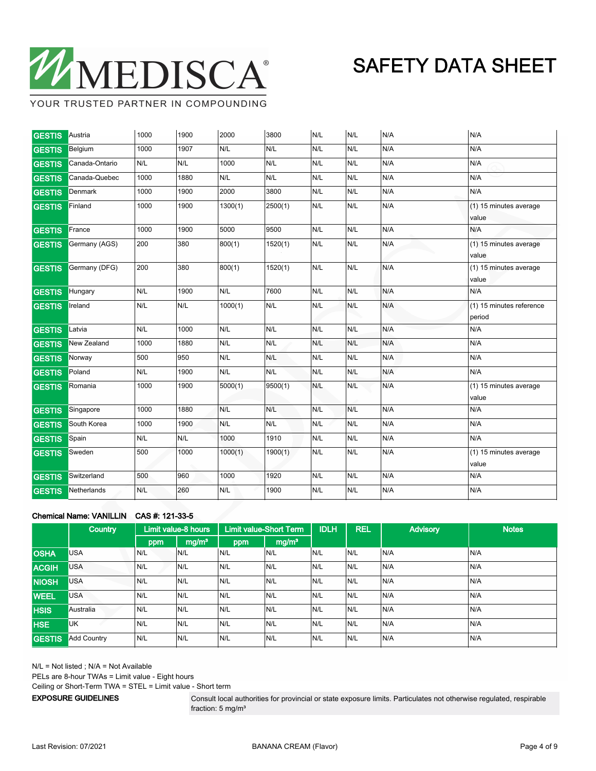

YOUR TRUSTED PARTNER IN COMPOUNDING

 $\mathbf{r}$ 

 $\mathbf{r}$ 

 $\mathbf{r}$ 

| <b>GESTIS</b> | Austria        | 1000 | 1900 | 2000    | 3800    | N/L | N/L | N/A | N/A                                |
|---------------|----------------|------|------|---------|---------|-----|-----|-----|------------------------------------|
| <b>GESTIS</b> | Belgium        | 1000 | 1907 | N/L     | N/L     | N/L | N/L | N/A | N/A                                |
| <b>GESTIS</b> | Canada-Ontario | N/L  | N/L  | 1000    | N/L     | N/L | N/L | N/A | N/A                                |
| <b>GESTIS</b> | Canada-Quebec  | 1000 | 1880 | N/L     | N/L     | N/L | N/L | N/A | N/A                                |
| <b>GESTIS</b> | Denmark        | 1000 | 1900 | 2000    | 3800    | N/L | N/L | N/A | N/A                                |
| <b>GESTIS</b> | Finland        | 1000 | 1900 | 1300(1) | 2500(1) | N/L | N/L | N/A | (1) 15 minutes average<br>value    |
| <b>GESTIS</b> | France         | 1000 | 1900 | 5000    | 9500    | N/L | N/L | N/A | N/A                                |
| <b>GESTIS</b> | Germany (AGS)  | 200  | 380  | 800(1)  | 1520(1) | N/L | N/L | N/A | (1) 15 minutes average<br>value    |
| <b>GESTIS</b> | Germany (DFG)  | 200  | 380  | 800(1)  | 1520(1) | N/L | N/L | N/A | (1) 15 minutes average<br>value    |
| <b>GESTIS</b> | Hungary        | N/L  | 1900 | N/L     | 7600    | N/L | N/L | N/A | N/A                                |
| <b>GESTIS</b> | Ireland        | N/L  | N/L  | 1000(1) | N/L     | N/L | N/L | N/A | (1) 15 minutes reference<br>period |
| <b>GESTIS</b> | Latvia         | N/L  | 1000 | N/L     | N/L     | N/L | N/L | N/A | N/A                                |
| <b>GESTIS</b> | New Zealand    | 1000 | 1880 | N/L     | N/L     | N/L | N/L | N/A | N/A                                |
| <b>GESTIS</b> | Norway         | 500  | 950  | N/L     | N/L     | N/L | N/L | N/A | N/A                                |
| <b>GESTIS</b> | Poland         | N/L  | 1900 | N/L     | N/L     | N/L | N/L | N/A | N/A                                |
| <b>GESTIS</b> | Romania        | 1000 | 1900 | 5000(1) | 9500(1) | N/L | N/L | N/A | (1) 15 minutes average<br>value    |
| <b>GESTIS</b> | Singapore      | 1000 | 1880 | N/L     | N/L     | N/L | N/L | N/A | N/A                                |
| <b>GESTIS</b> | South Korea    | 1000 | 1900 | N/L     | N/L     | N/L | N/L | N/A | N/A                                |
| <b>GESTIS</b> | Spain          | N/L  | N/L  | 1000    | 1910    | N/L | N/L | N/A | N/A                                |
| <b>GESTIS</b> | Sweden         | 500  | 1000 | 1000(1) | 1900(1) | N/L | N/L | N/A | (1) 15 minutes average<br>value    |
| <b>GESTIS</b> | Switzerland    | 500  | 960  | 1000    | 1920    | N/L | N/L | N/A | N/A                                |
| <b>GESTIS</b> | Netherlands    | N/L  | 260  | N/L     | 1900    | N/L | N/L | N/A | N/A                                |

 $\overline{1}$ 

### Chemical Name: VANILLIN CAS #: 121-33-5

|               | <b>Country</b>     | Limit value-8 hours |                   | <b>Limit value-Short Term</b> |                   | <b>IDLH</b> | <b>REL</b> | <b>Advisory</b> | <b>Notes</b> |
|---------------|--------------------|---------------------|-------------------|-------------------------------|-------------------|-------------|------------|-----------------|--------------|
|               |                    | ppm                 | mg/m <sup>3</sup> | ppm                           | mg/m <sup>3</sup> |             |            |                 |              |
| <b>OSHA</b>   | <b>USA</b>         | N/L                 | N/L               | N/L                           | N/L               | N/L         | N/L        | N/A             | N/A          |
| <b>ACGIH</b>  | <b>USA</b>         | N/L                 | N/L               | N/L                           | N/L               | N/L         | N/L        | N/A             | N/A          |
| <b>NIOSH</b>  | <b>USA</b>         | N/L                 | N/L               | N/L                           | N/L               | N/L         | N/L        | N/A             | N/A          |
| <b>WEEL</b>   | <b>USA</b>         | N/L                 | N/L               | N/L                           | N/L               | N/L         | N/L        | N/A             | N/A          |
| <b>HSIS</b>   | Australia          | N/L                 | N/L               | N/L                           | N/L               | N/L         | N/L        | N/A             | N/A          |
| <b>HSE</b>    | <b>UK</b>          | N/L                 | N/L               | N/L                           | N/L               | N/L         | IN/L       | N/A             | N/A          |
| <b>GESTIS</b> | <b>Add Country</b> | N/L                 | N/L               | N/L                           | N/L               | N/L         | N/L        | N/A             | N/A          |

N/L = Not listed ; N/A = Not Available

PELs are 8-hour TWAs = Limit value - Eight hours

Ceiling or Short-Term TWA = STEL = Limit value - Short term

EXPOSURE GUIDELINES

Consult local authorities for provincial or state exposure limits. Particulates not otherwise regulated, respirable fraction: 5 mg/m<sup>3</sup>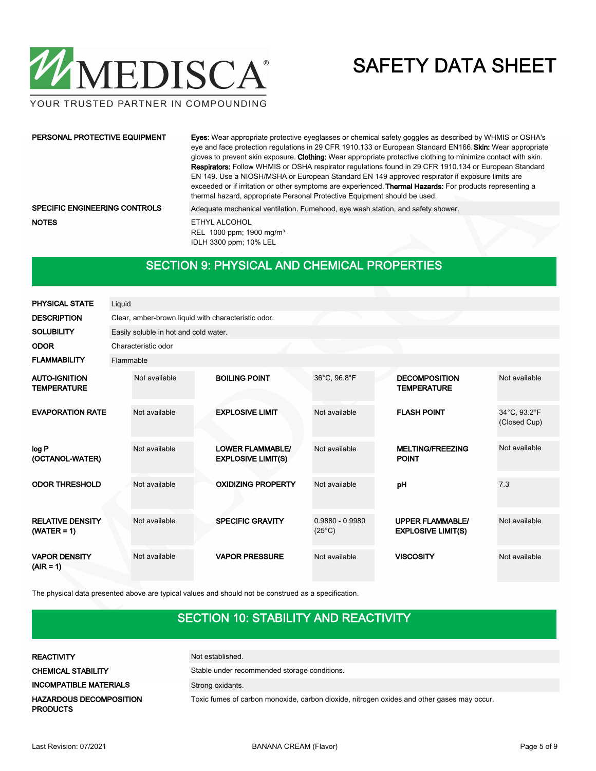

YOUR TRUSTED PARTNER IN COMPOUNDING

| PERSONAL PROTECTIVE EQUIPMENT        | <b>Eves:</b> Wear appropriate protective eyeglasses or chemical safety goggles as described by WHMIS or OSHA's<br>eye and face protection regulations in 29 CFR 1910.133 or European Standard EN166. Skin: Wear appropriate<br>gloves to prevent skin exposure. Clothing: Wear appropriate protective clothing to minimize contact with skin.<br><b>Respirators:</b> Follow WHMIS or OSHA respirator regulations found in 29 CFR 1910.134 or European Standard<br>EN 149. Use a NIOSH/MSHA or European Standard EN 149 approved respirator if exposure limits are<br>exceeded or if irritation or other symptoms are experienced. <b>Thermal Hazards:</b> For products representing a<br>thermal hazard, appropriate Personal Protective Equipment should be used. |  |  |  |  |  |
|--------------------------------------|--------------------------------------------------------------------------------------------------------------------------------------------------------------------------------------------------------------------------------------------------------------------------------------------------------------------------------------------------------------------------------------------------------------------------------------------------------------------------------------------------------------------------------------------------------------------------------------------------------------------------------------------------------------------------------------------------------------------------------------------------------------------|--|--|--|--|--|
| <b>SPECIFIC ENGINEERING CONTROLS</b> | Adequate mechanical ventilation. Fumehood, eye wash station, and safety shower.                                                                                                                                                                                                                                                                                                                                                                                                                                                                                                                                                                                                                                                                                    |  |  |  |  |  |
| <b>NOTES</b>                         | ETHYL ALCOHOL<br>REL 1000 ppm; 1900 mg/m <sup>3</sup><br>IDLH 3300 ppm; 10% LEL                                                                                                                                                                                                                                                                                                                                                                                                                                                                                                                                                                                                                                                                                    |  |  |  |  |  |

# SECTION 9: PHYSICAL AND CHEMICAL PROPERTIES

| <b>PHYSICAL STATE</b>                      | Liquid                                              |                                                      |                                      |                                                      |                              |  |  |  |  |  |  |  |  |
|--------------------------------------------|-----------------------------------------------------|------------------------------------------------------|--------------------------------------|------------------------------------------------------|------------------------------|--|--|--|--|--|--|--|--|
| <b>DESCRIPTION</b>                         | Clear, amber-brown liquid with characteristic odor. |                                                      |                                      |                                                      |                              |  |  |  |  |  |  |  |  |
| <b>SOLUBILITY</b>                          | Easily soluble in hot and cold water.               |                                                      |                                      |                                                      |                              |  |  |  |  |  |  |  |  |
| <b>ODOR</b>                                | Characteristic odor                                 |                                                      |                                      |                                                      |                              |  |  |  |  |  |  |  |  |
| <b>FLAMMABILITY</b>                        | Flammable                                           |                                                      |                                      |                                                      |                              |  |  |  |  |  |  |  |  |
| <b>AUTO-IGNITION</b><br><b>TEMPERATURE</b> | Not available                                       | <b>BOILING POINT</b>                                 | 36°C, 96.8°F                         | <b>DECOMPOSITION</b><br><b>TEMPERATURE</b>           | Not available                |  |  |  |  |  |  |  |  |
| <b>EVAPORATION RATE</b>                    | Not available                                       | <b>EXPLOSIVE LIMIT</b>                               | Not available                        | <b>FLASH POINT</b>                                   | 34°C, 93.2°F<br>(Closed Cup) |  |  |  |  |  |  |  |  |
| log P<br>(OCTANOL-WATER)                   | Not available                                       | <b>LOWER FLAMMABLE/</b><br><b>EXPLOSIVE LIMIT(S)</b> | Not available                        | <b>MELTING/FREEZING</b><br><b>POINT</b>              | Not available                |  |  |  |  |  |  |  |  |
| <b>ODOR THRESHOLD</b>                      | Not available                                       | <b>OXIDIZING PROPERTY</b>                            | Not available                        | pH                                                   | 7.3                          |  |  |  |  |  |  |  |  |
| <b>RELATIVE DENSITY</b><br>$(WATER = 1)$   | Not available                                       | <b>SPECIFIC GRAVITY</b>                              | $0.9880 - 0.9980$<br>$(25^{\circ}C)$ | <b>UPPER FLAMMABLE/</b><br><b>EXPLOSIVE LIMIT(S)</b> | Not available                |  |  |  |  |  |  |  |  |
| <b>VAPOR DENSITY</b><br>$(AIR = 1)$        | Not available                                       | <b>VAPOR PRESSURE</b>                                | Not available                        | <b>VISCOSITY</b>                                     | Not available                |  |  |  |  |  |  |  |  |

The physical data presented above are typical values and should not be construed as a specification.

# SECTION 10: STABILITY AND REACTIVITY

| <b>REACTIVITY</b>                                 | Not established.                                                                           |
|---------------------------------------------------|--------------------------------------------------------------------------------------------|
| <b>CHEMICAL STABILITY</b>                         | Stable under recommended storage conditions.                                               |
| <b>INCOMPATIBLE MATERIALS</b>                     | Strong oxidants.                                                                           |
| <b>HAZARDOUS DECOMPOSITION</b><br><b>PRODUCTS</b> | Toxic fumes of carbon monoxide, carbon dioxide, nitrogen oxides and other gases may occur. |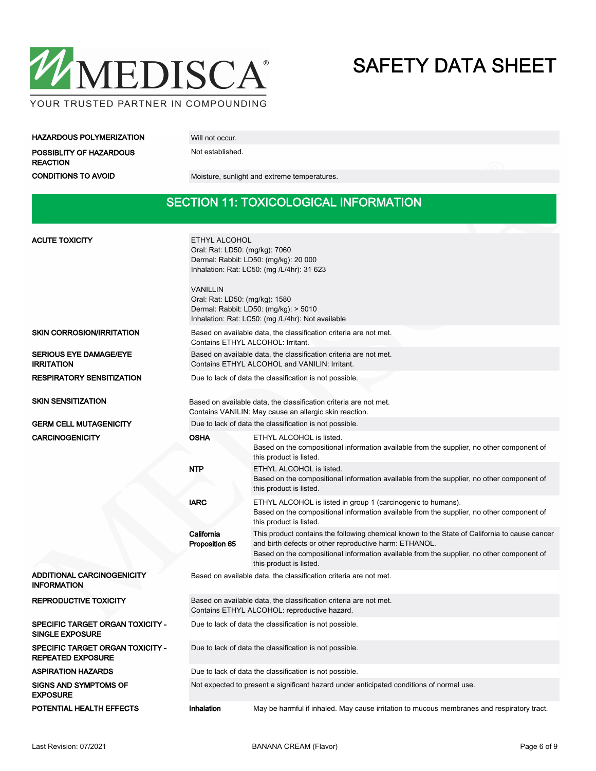

### HAZARDOUS POLYMERIZATION Will not occur.

POSSIBLITY OF HAZARDOUS Not established.

REACTION

CONDITIONS TO AVOID Moisture, sunlight and extreme temperatures.

## SECTION 11: TOXICOLOGICAL INFORMATION

| <b>ACUTE TOXICITY</b>                                               | ETHYL ALCOHOL<br>Oral: Rat: LD50: (mg/kg): 7060<br>Dermal: Rabbit: LD50: (mg/kg): 20 000<br>Inhalation: Rat: LC50: (mg / L/4hr): 31 623<br><b>VANILLIN</b><br>Oral: Rat: LD50: (mg/kg): 1580<br>Dermal: Rabbit: LD50: (mg/kg): > 5010<br>Inhalation: Rat: LC50: (mg /L/4hr): Not available |                                                                                                                                                                                                                                                                                 |  |  |
|---------------------------------------------------------------------|--------------------------------------------------------------------------------------------------------------------------------------------------------------------------------------------------------------------------------------------------------------------------------------------|---------------------------------------------------------------------------------------------------------------------------------------------------------------------------------------------------------------------------------------------------------------------------------|--|--|
| <b>SKIN CORROSION/IRRITATION</b>                                    |                                                                                                                                                                                                                                                                                            | Based on available data, the classification criteria are not met.<br>Contains ETHYL ALCOHOL: Irritant.                                                                                                                                                                          |  |  |
| <b>SERIOUS EYE DAMAGE/EYE</b><br><b>IRRITATION</b>                  |                                                                                                                                                                                                                                                                                            | Based on available data, the classification criteria are not met.<br>Contains ETHYL ALCOHOL and VANILIN: Irritant.                                                                                                                                                              |  |  |
| <b>RESPIRATORY SENSITIZATION</b>                                    |                                                                                                                                                                                                                                                                                            | Due to lack of data the classification is not possible.                                                                                                                                                                                                                         |  |  |
| <b>SKIN SENSITIZATION</b>                                           |                                                                                                                                                                                                                                                                                            | Based on available data, the classification criteria are not met.<br>Contains VANILIN: May cause an allergic skin reaction.                                                                                                                                                     |  |  |
| <b>GERM CELL MUTAGENICITY</b>                                       |                                                                                                                                                                                                                                                                                            | Due to lack of data the classification is not possible.                                                                                                                                                                                                                         |  |  |
| <b>CARCINOGENICITY</b>                                              | <b>OSHA</b>                                                                                                                                                                                                                                                                                | ETHYL ALCOHOL is listed.<br>Based on the compositional information available from the supplier, no other component of<br>this product is listed.                                                                                                                                |  |  |
|                                                                     | <b>NTP</b>                                                                                                                                                                                                                                                                                 | ETHYL ALCOHOL is listed.<br>Based on the compositional information available from the supplier, no other component of<br>this product is listed.                                                                                                                                |  |  |
|                                                                     | <b>IARC</b>                                                                                                                                                                                                                                                                                | ETHYL ALCOHOL is listed in group 1 (carcinogenic to humans).<br>Based on the compositional information available from the supplier, no other component of<br>this product is listed.                                                                                            |  |  |
|                                                                     | California<br>Proposition 65                                                                                                                                                                                                                                                               | This product contains the following chemical known to the State of California to cause cancer<br>and birth defects or other reproductive harm: ETHANOL.<br>Based on the compositional information available from the supplier, no other component of<br>this product is listed. |  |  |
| <b>ADDITIONAL CARCINOGENICITY</b><br><b>INFORMATION</b>             |                                                                                                                                                                                                                                                                                            | Based on available data, the classification criteria are not met.                                                                                                                                                                                                               |  |  |
| <b>REPRODUCTIVE TOXICITY</b>                                        | Based on available data, the classification criteria are not met.<br>Contains ETHYL ALCOHOL: reproductive hazard.                                                                                                                                                                          |                                                                                                                                                                                                                                                                                 |  |  |
| SPECIFIC TARGET ORGAN TOXICITY -<br><b>SINGLE EXPOSURE</b>          | Due to lack of data the classification is not possible.                                                                                                                                                                                                                                    |                                                                                                                                                                                                                                                                                 |  |  |
| <b>SPECIFIC TARGET ORGAN TOXICITY -</b><br><b>REPEATED EXPOSURE</b> | Due to lack of data the classification is not possible.                                                                                                                                                                                                                                    |                                                                                                                                                                                                                                                                                 |  |  |
| <b>ASPIRATION HAZARDS</b>                                           | Due to lack of data the classification is not possible.                                                                                                                                                                                                                                    |                                                                                                                                                                                                                                                                                 |  |  |
| <b>SIGNS AND SYMPTOMS OF</b><br><b>EXPOSURE</b>                     | Not expected to present a significant hazard under anticipated conditions of normal use.                                                                                                                                                                                                   |                                                                                                                                                                                                                                                                                 |  |  |
| POTENTIAL HEALTH EFFECTS                                            | Inhalation<br>May be harmful if inhaled. May cause irritation to mucous membranes and respiratory tract.                                                                                                                                                                                   |                                                                                                                                                                                                                                                                                 |  |  |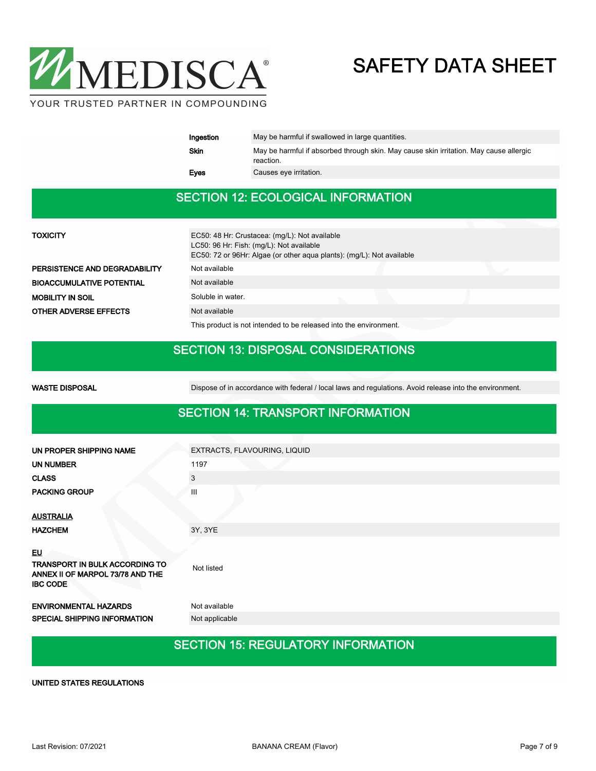

| Ingestion   | May be harmful if swallowed in large quantities.                                                    |
|-------------|-----------------------------------------------------------------------------------------------------|
| Skin        | May be harmful if absorbed through skin. May cause skin irritation. May cause allergic<br>reaction. |
| <b>Eves</b> | Causes eye irritation.                                                                              |

## SECTION 12: ECOLOGICAL INFORMATION

| TOXICITY                         | EC50: 48 Hr: Crustacea: (mg/L): Not available<br>LC50: 96 Hr: Fish: (mg/L): Not available<br>EC50: 72 or 96Hr: Algae (or other aqua plants): (mg/L): Not available |  |
|----------------------------------|--------------------------------------------------------------------------------------------------------------------------------------------------------------------|--|
| PERSISTENCE AND DEGRADABILITY    | Not available                                                                                                                                                      |  |
| <b>BIOACCUMULATIVE POTENTIAL</b> | Not available                                                                                                                                                      |  |
| <b>MOBILITY IN SOIL</b>          | Soluble in water.                                                                                                                                                  |  |
| <b>OTHER ADVERSE EFFECTS</b>     | Not available                                                                                                                                                      |  |
|                                  | This product is not intended to be released into the environment.                                                                                                  |  |

# SECTION 13: DISPOSAL CONSIDERATIONS

| <b>WASTE DISPOSAL</b>                                                                                     | Dispose of in accordance with federal / local laws and regulations. Avoid release into the environment. |
|-----------------------------------------------------------------------------------------------------------|---------------------------------------------------------------------------------------------------------|
|                                                                                                           | <b>SECTION 14: TRANSPORT INFORMATION</b>                                                                |
| UN PROPER SHIPPING NAME                                                                                   | EXTRACTS, FLAVOURING, LIQUID                                                                            |
| <b>UN NUMBER</b>                                                                                          | 1197                                                                                                    |
| <b>CLASS</b>                                                                                              | 3                                                                                                       |
| <b>PACKING GROUP</b>                                                                                      | Ш                                                                                                       |
| <b>AUSTRALIA</b><br><b>HAZCHEM</b>                                                                        | 3Y, 3YE                                                                                                 |
|                                                                                                           |                                                                                                         |
| <u>EU</u><br><b>TRANSPORT IN BULK ACCORDING TO</b><br>ANNEX II OF MARPOL 73/78 AND THE<br><b>IBC CODE</b> | Not listed                                                                                              |
| <b>ENVIRONMENTAL HAZARDS</b>                                                                              | Not available                                                                                           |
| <b>SPECIAL SHIPPING INFORMATION</b>                                                                       | Not applicable                                                                                          |

# SECTION 15: REGULATORY INFORMATION

UNITED STATES REGULATIONS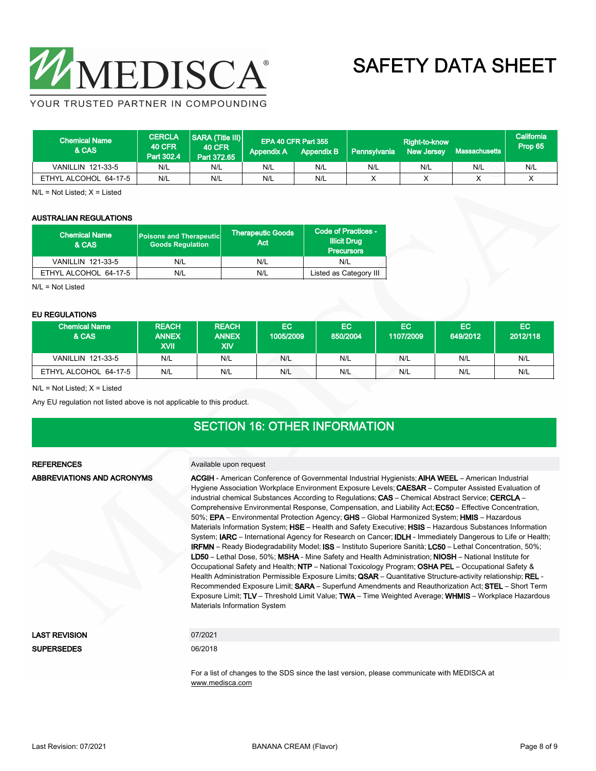

YOUR TRUSTED PARTNER IN COMPOUNDING

| <b>Chemical Name</b><br>& CAS | <b>CERCLA</b><br><b>40 CFR</b><br>Part 302.4 | SARA (Title III)<br><b>40 CFR</b><br>Part 372.65 | <b>Appendix A</b> | EPA 40 CFR Part 355<br><b>Appendix B</b> | Pennsylvania | Right-to-know<br><b>New Jersey</b> | <b>Massachusetts</b> | California<br>Prop 65 |
|-------------------------------|----------------------------------------------|--------------------------------------------------|-------------------|------------------------------------------|--------------|------------------------------------|----------------------|-----------------------|
| <b>VANILLIN 121-33-5</b>      | N/L                                          | N/L                                              | N/L               | N/L                                      | N/L          | N/L                                | N/L                  | N/L                   |
| ETHYL ALCOHOL 64-17-5         | N/L                                          | N/L                                              | N/L               | N/L                                      |              |                                    |                      |                       |

 $N/L = Not$  Listed;  $X =$  Listed

#### AUSTRALIAN REGULATIONS

| <b>Chemical Name</b><br>& CAS | Poisons and Therapeutic<br><b>Goods Requlation</b> | <b>Therapeutic Goods</b><br>Act | Code of Practices -<br><b>Illicit Drug</b><br><b>Precursors</b> |
|-------------------------------|----------------------------------------------------|---------------------------------|-----------------------------------------------------------------|
| <b>VANILLIN 121-33-5</b>      | N/L                                                | N/L                             | N/L                                                             |
| ETHYL ALCOHOL 64-17-5         | N/L                                                | N/L                             | Listed as Category III                                          |

N/L = Not Listed

#### EU REGULATIONS

| --------------           |                                             |                                            |                 |                       |                  |                 |                 |
|--------------------------|---------------------------------------------|--------------------------------------------|-----------------|-----------------------|------------------|-----------------|-----------------|
| ا Chemical Name<br>& CAS | <b>REACH</b><br><b>ANNEX</b><br><b>IIVX</b> | <b>REACH</b><br><b>ANNEX</b><br><b>XIV</b> | EC<br>1005/2009 | <b>EC</b><br>850/2004 | EC.<br>1107/2009 | EC.<br>649/2012 | EC.<br>2012/118 |
| VANILLIN 121-33-5        | N/L                                         | N/L                                        | N/L             | N/L                   | N/L              | N/L             | N/L             |
| ETHYL ALCOHOL 64-17-5    | N/L                                         | N/L                                        | N/L             | N/L                   | N/L              | N/L             | N/L             |

 $N/L$  = Not Listed;  $X =$  Listed

Any EU regulation not listed above is not applicable to this product.

# SECTION 16: OTHER INFORMATION

ABBREVIATIONS AND ACRONYMS

#### REFERENCES Available upon request

ACGIH - American Conference of Governmental Industrial Hygienists; AIHA WEEL – American Industrial Hygiene Association Workplace Environment Exposure Levels; CAESAR – Computer Assisted Evaluation of industrial chemical Substances According to Regulations; CAS - Chemical Abstract Service; CERCLA -Comprehensive Environmental Response, Compensation, and Liability Act; EC50 – Effective Concentration, 50%; EPA – Environmental Protection Agency; GHS – Global Harmonized System; HMIS – Hazardous Materials Information System; HSE – Health and Safety Executive; HSIS – Hazardous Substances Information System; IARC – International Agency for Research on Cancer; IDLH - Immediately Dangerous to Life or Health; IRFMN – Ready Biodegradability Model; ISS – Instituto Superiore Sanità; LC50 – Lethal Concentration, 50%; LD50 – Lethal Dose, 50%; MSHA - Mine Safety and Health Administration; NIOSH – National Institute for Occupational Safety and Health; NTP – National Toxicology Program; OSHA PEL – Occupational Safety & Health Administration Permissible Exposure Limits; QSAR - Quantitative Structure-activity relationship; REL -Recommended Exposure Limit; SARA – Superfund Amendments and Reauthorization Act; STEL – Short Term Exposure Limit; TLV – Threshold Limit Value; TWA – Time Weighted Average; WHMIS – Workplace Hazardous Materials Information System

| LAST REVISION |  |
|---------------|--|
| SUPFRSEDES    |  |

### 07/2021

06/2018

For a list of changes to the SDS since the last version, please communicate with MEDISCA at <www.medisca.com>